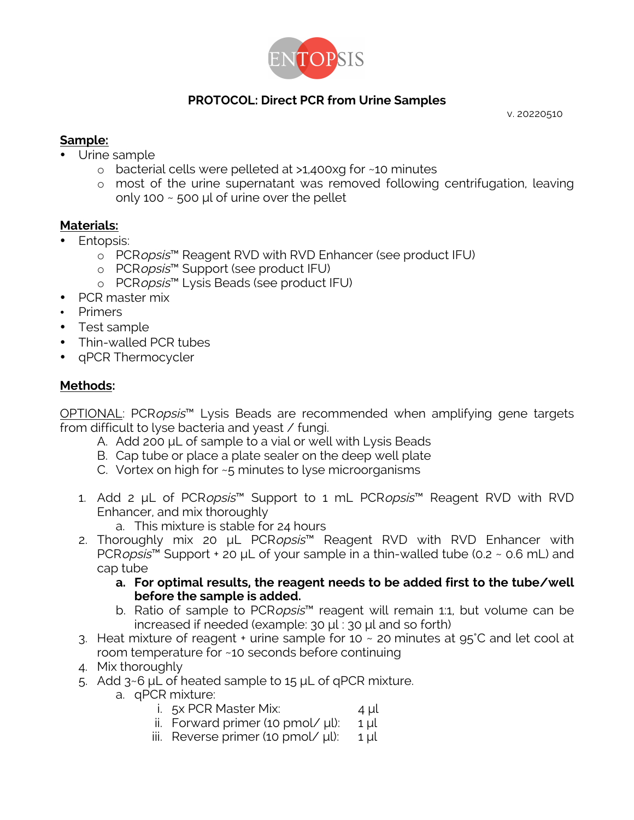

## **PROTOCOL: Direct PCR from Urine Samples**

v. 20220510

## **Sample:**

- Urine sample
	- o bacterial cells were pelleted at >1,400xg for ~10 minutes
	- o most of the urine supernatant was removed following centrifugation, leaving only 100  $\sim$  500 µl of urine over the pellet

## **Materials:**

- Entopsis:
	- o PCRopsis™ Reagent RVD with RVD Enhancer (see product IFU)
	- o PCRopsis™ Support (see product IFU)
	- o PCRopsis<sup>™</sup> Lysis Beads (see product IFU)
- PCR master mix
- Primers
- Test sample
- Thin-walled PCR tubes
- qPCR Thermocycler

## **Methods:**

OPTIONAL: PCRopsis<sup>™</sup> Lysis Beads are recommended when amplifying gene targets from difficult to lyse bacteria and yeast / fungi.

- A. Add 200 μL of sample to a vial or well with Lysis Beads
- B. Cap tube or place a plate sealer on the deep well plate
- C. Vortex on high for ~5 minutes to lyse microorganisms
- 1. Add 2 μL of PCRopsis™ Support to 1 mL PCRopsis™ Reagent RVD with RVD Enhancer, and mix thoroughly
	- a. This mixture is stable for 24 hours
- 2. Thoroughly mix 20 μL PCRopsis™ Reagent RVD with RVD Enhancer with PCRopsis<sup>™</sup> Support + 20 µL of your sample in a thin-walled tube (0.2  $\sim$  0.6 mL) and cap tube
	- **a. For optimal results, the reagent needs to be added first to the tube/well before the sample is added.**
	- b. Ratio of sample to PCRopsis<sup>™</sup> reagent will remain 1:1, but volume can be increased if needed (example: 30 μl : 30 μl and so forth)
- 3. Heat mixture of reagent  $+$  urine sample for 10  $\sim$  20 minutes at 95°C and let cool at room temperature for ~10 seconds before continuing
- 4. Mix thoroughly
- 5. Add 3~6 μL of heated sample to 15 μL of qPCR mixture.
	- a. qPCR mixture:
		- i.  $5x$  PCR Master Mix:  $4 \mu$
		- ii. Forward primer (10 pmol/  $\mu$ l): 1  $\mu$ l
		- iii. Reverse primer (10 pmol/  $\mu$ l): 1  $\mu$ l